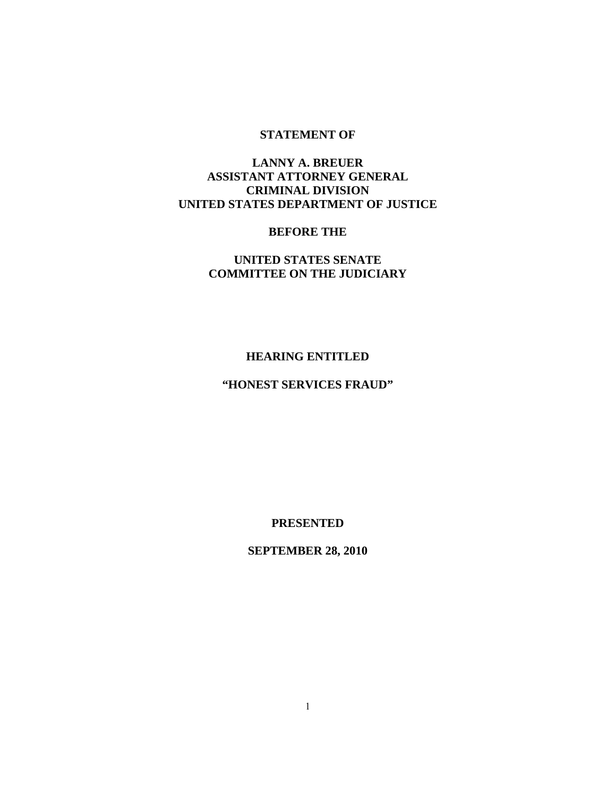### **STATEMENT OF**

# **LANNY A. BREUER ASSISTANT ATTORNEY GENERAL CRIMINAL DIVISION UNITED STATES DEPARTMENT OF JUSTICE**

### **BEFORE THE**

# **UNITED STATES SENATE COMMITTEE ON THE JUDICIARY**

### **HEARING ENTITLED**

# **"HONEST SERVICES FRAUD"**

**PRESENTED** 

**SEPTEMBER 28, 2010**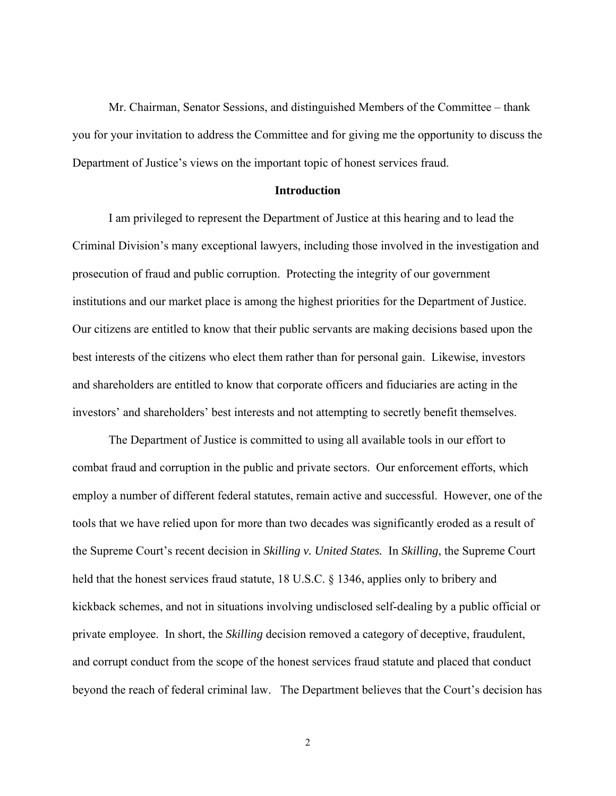Mr. Chairman, Senator Sessions, and distinguished Members of the Committee – thank you for your invitation to address the Committee and for giving me the opportunity to discuss the Department of Justice's views on the important topic of honest services fraud.

#### **Introduction**

 I am privileged to represent the Department of Justice at this hearing and to lead the Criminal Division's many exceptional lawyers, including those involved in the investigation and prosecution of fraud and public corruption. Protecting the integrity of our government institutions and our market place is among the highest priorities for the Department of Justice. Our citizens are entitled to know that their public servants are making decisions based upon the best interests of the citizens who elect them rather than for personal gain. Likewise, investors and shareholders are entitled to know that corporate officers and fiduciaries are acting in the investors' and shareholders' best interests and not attempting to secretly benefit themselves.

 The Department of Justice is committed to using all available tools in our effort to combat fraud and corruption in the public and private sectors. Our enforcement efforts, which employ a number of different federal statutes, remain active and successful. However, one of the tools that we have relied upon for more than two decades was significantly eroded as a result of the Supreme Court's recent decision in *Skilling v. United States.* In *Skilling*, the Supreme Court held that the honest services fraud statute, 18 U.S.C. § 1346, applies only to bribery and kickback schemes, and not in situations involving undisclosed self-dealing by a public official or private employee. In short, the *Skilling* decision removed a category of deceptive, fraudulent, and corrupt conduct from the scope of the honest services fraud statute and placed that conduct beyond the reach of federal criminal law. The Department believes that the Court's decision has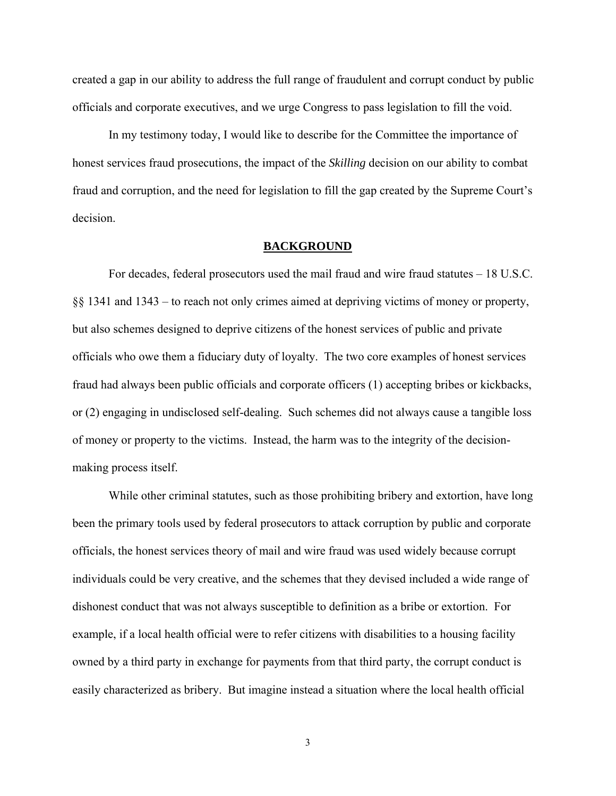created a gap in our ability to address the full range of fraudulent and corrupt conduct by public officials and corporate executives, and we urge Congress to pass legislation to fill the void.

 In my testimony today, I would like to describe for the Committee the importance of honest services fraud prosecutions, the impact of the *Skilling* decision on our ability to combat fraud and corruption, and the need for legislation to fill the gap created by the Supreme Court's decision.

#### **BACKGROUND**

 For decades, federal prosecutors used the mail fraud and wire fraud statutes – 18 U.S.C. §§ 1341 and 1343 – to reach not only crimes aimed at depriving victims of money or property, but also schemes designed to deprive citizens of the honest services of public and private officials who owe them a fiduciary duty of loyalty. The two core examples of honest services fraud had always been public officials and corporate officers (1) accepting bribes or kickbacks, or (2) engaging in undisclosed self-dealing. Such schemes did not always cause a tangible loss of money or property to the victims. Instead, the harm was to the integrity of the decisionmaking process itself.

 While other criminal statutes, such as those prohibiting bribery and extortion, have long been the primary tools used by federal prosecutors to attack corruption by public and corporate officials, the honest services theory of mail and wire fraud was used widely because corrupt individuals could be very creative, and the schemes that they devised included a wide range of dishonest conduct that was not always susceptible to definition as a bribe or extortion. For example, if a local health official were to refer citizens with disabilities to a housing facility owned by a third party in exchange for payments from that third party, the corrupt conduct is easily characterized as bribery. But imagine instead a situation where the local health official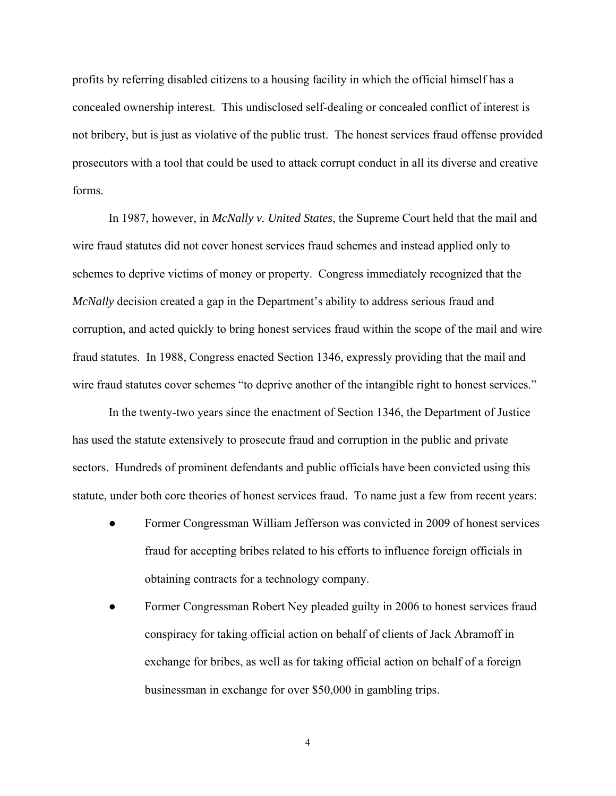profits by referring disabled citizens to a housing facility in which the official himself has a concealed ownership interest. This undisclosed self-dealing or concealed conflict of interest is not bribery, but is just as violative of the public trust. The honest services fraud offense provided prosecutors with a tool that could be used to attack corrupt conduct in all its diverse and creative forms.

 In 1987, however, in *McNally v. United States*, the Supreme Court held that the mail and wire fraud statutes did not cover honest services fraud schemes and instead applied only to schemes to deprive victims of money or property. Congress immediately recognized that the *McNally* decision created a gap in the Department's ability to address serious fraud and corruption, and acted quickly to bring honest services fraud within the scope of the mail and wire fraud statutes. In 1988, Congress enacted Section 1346, expressly providing that the mail and wire fraud statutes cover schemes "to deprive another of the intangible right to honest services."

 In the twenty-two years since the enactment of Section 1346, the Department of Justice has used the statute extensively to prosecute fraud and corruption in the public and private sectors. Hundreds of prominent defendants and public officials have been convicted using this statute, under both core theories of honest services fraud. To name just a few from recent years:

- Former Congressman William Jefferson was convicted in 2009 of honest services fraud for accepting bribes related to his efforts to influence foreign officials in obtaining contracts for a technology company.
- Former Congressman Robert Ney pleaded guilty in 2006 to honest services fraud conspiracy for taking official action on behalf of clients of Jack Abramoff in exchange for bribes, as well as for taking official action on behalf of a foreign businessman in exchange for over \$50,000 in gambling trips.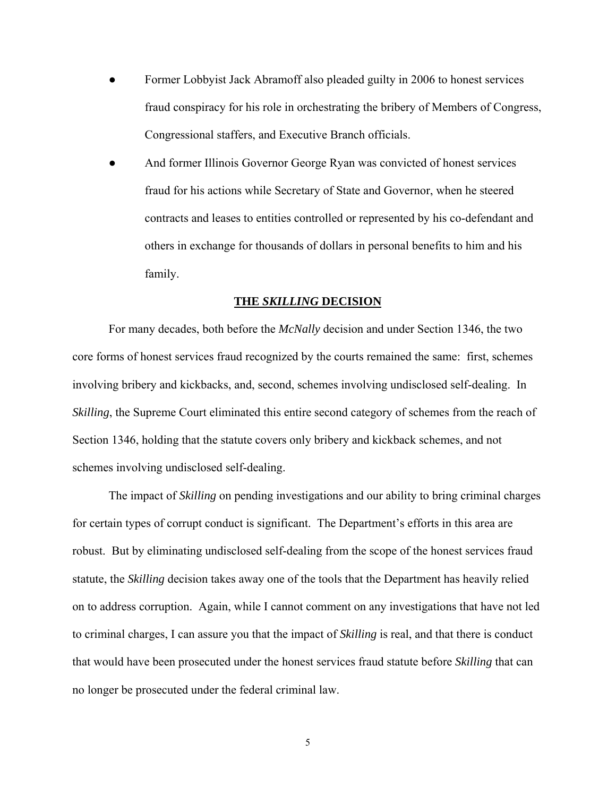- Former Lobbyist Jack Abramoff also pleaded guilty in 2006 to honest services fraud conspiracy for his role in orchestrating the bribery of Members of Congress, Congressional staffers, and Executive Branch officials.
- And former Illinois Governor George Ryan was convicted of honest services fraud for his actions while Secretary of State and Governor, when he steered contracts and leases to entities controlled or represented by his co-defendant and others in exchange for thousands of dollars in personal benefits to him and his family.

#### **THE** *SKILLING* **DECISION**

 For many decades, both before the *McNally* decision and under Section 1346, the two core forms of honest services fraud recognized by the courts remained the same: first, schemes involving bribery and kickbacks, and, second, schemes involving undisclosed self-dealing. In *Skilling*, the Supreme Court eliminated this entire second category of schemes from the reach of Section 1346, holding that the statute covers only bribery and kickback schemes, and not schemes involving undisclosed self-dealing.

 The impact of *Skilling* on pending investigations and our ability to bring criminal charges for certain types of corrupt conduct is significant. The Department's efforts in this area are robust. But by eliminating undisclosed self-dealing from the scope of the honest services fraud statute, the *Skilling* decision takes away one of the tools that the Department has heavily relied on to address corruption. Again, while I cannot comment on any investigations that have not led to criminal charges, I can assure you that the impact of *Skilling* is real, and that there is conduct that would have been prosecuted under the honest services fraud statute before *Skilling* that can no longer be prosecuted under the federal criminal law.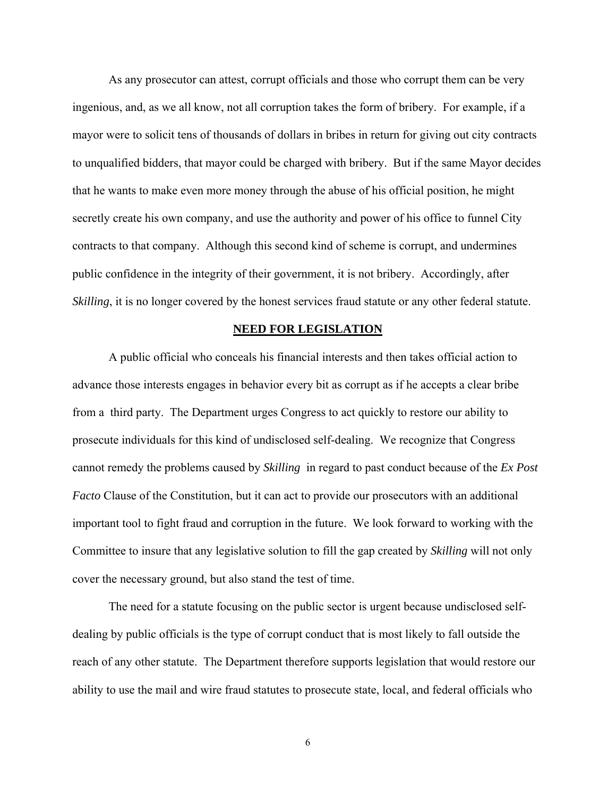As any prosecutor can attest, corrupt officials and those who corrupt them can be very ingenious, and, as we all know, not all corruption takes the form of bribery. For example, if a mayor were to solicit tens of thousands of dollars in bribes in return for giving out city contracts to unqualified bidders, that mayor could be charged with bribery. But if the same Mayor decides that he wants to make even more money through the abuse of his official position, he might secretly create his own company, and use the authority and power of his office to funnel City contracts to that company. Although this second kind of scheme is corrupt, and undermines public confidence in the integrity of their government, it is not bribery. Accordingly, after *Skilling*, it is no longer covered by the honest services fraud statute or any other federal statute.

#### **NEED FOR LEGISLATION**

 A public official who conceals his financial interests and then takes official action to advance those interests engages in behavior every bit as corrupt as if he accepts a clear bribe from a third party. The Department urges Congress to act quickly to restore our ability to prosecute individuals for this kind of undisclosed self-dealing. We recognize that Congress cannot remedy the problems caused by *Skilling* in regard to past conduct because of the *Ex Post Facto* Clause of the Constitution, but it can act to provide our prosecutors with an additional important tool to fight fraud and corruption in the future. We look forward to working with the Committee to insure that any legislative solution to fill the gap created by *Skilling* will not only cover the necessary ground, but also stand the test of time.

 The need for a statute focusing on the public sector is urgent because undisclosed selfdealing by public officials is the type of corrupt conduct that is most likely to fall outside the reach of any other statute. The Department therefore supports legislation that would restore our ability to use the mail and wire fraud statutes to prosecute state, local, and federal officials who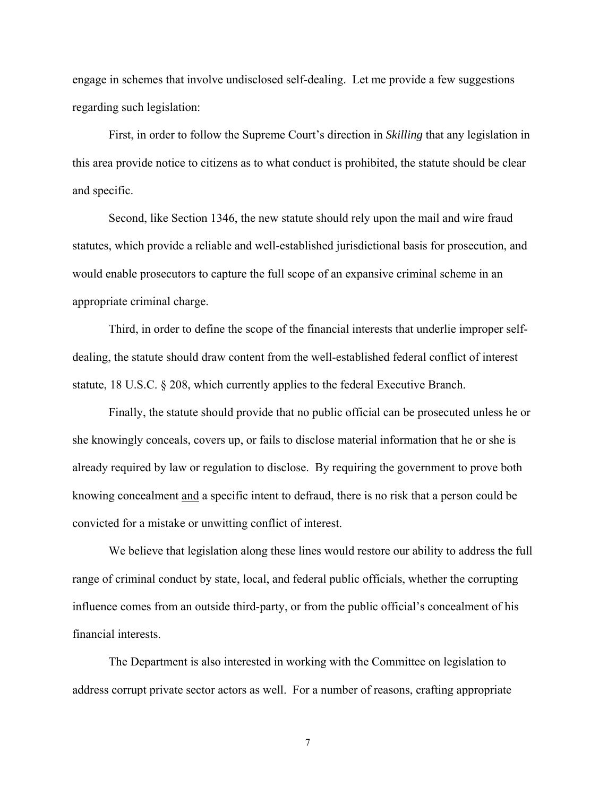engage in schemes that involve undisclosed self-dealing. Let me provide a few suggestions regarding such legislation:

 First, in order to follow the Supreme Court's direction in *Skilling* that any legislation in this area provide notice to citizens as to what conduct is prohibited, the statute should be clear and specific.

 Second, like Section 1346, the new statute should rely upon the mail and wire fraud statutes, which provide a reliable and well-established jurisdictional basis for prosecution, and would enable prosecutors to capture the full scope of an expansive criminal scheme in an appropriate criminal charge.

 Third, in order to define the scope of the financial interests that underlie improper selfdealing, the statute should draw content from the well-established federal conflict of interest statute, 18 U.S.C. § 208, which currently applies to the federal Executive Branch.

 Finally, the statute should provide that no public official can be prosecuted unless he or she knowingly conceals, covers up, or fails to disclose material information that he or she is already required by law or regulation to disclose. By requiring the government to prove both knowing concealment and a specific intent to defraud, there is no risk that a person could be convicted for a mistake or unwitting conflict of interest.

 We believe that legislation along these lines would restore our ability to address the full range of criminal conduct by state, local, and federal public officials, whether the corrupting influence comes from an outside third-party, or from the public official's concealment of his financial interests.

 The Department is also interested in working with the Committee on legislation to address corrupt private sector actors as well. For a number of reasons, crafting appropriate